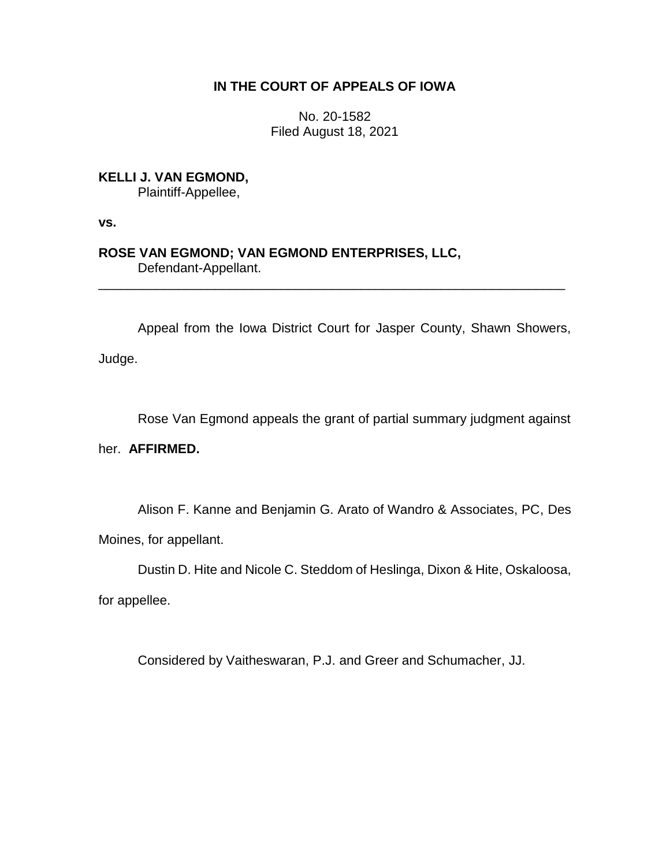## **IN THE COURT OF APPEALS OF IOWA**

No. 20-1582 Filed August 18, 2021

**KELLI J. VAN EGMOND,** Plaintiff-Appellee,

**vs.**

**ROSE VAN EGMOND; VAN EGMOND ENTERPRISES, LLC,** Defendant-Appellant.

Appeal from the Iowa District Court for Jasper County, Shawn Showers,

\_\_\_\_\_\_\_\_\_\_\_\_\_\_\_\_\_\_\_\_\_\_\_\_\_\_\_\_\_\_\_\_\_\_\_\_\_\_\_\_\_\_\_\_\_\_\_\_\_\_\_\_\_\_\_\_\_\_\_\_\_\_\_\_

Judge.

Rose Van Egmond appeals the grant of partial summary judgment against

her. **AFFIRMED.**

Alison F. Kanne and Benjamin G. Arato of Wandro & Associates, PC, Des

Moines, for appellant.

Dustin D. Hite and Nicole C. Steddom of Heslinga, Dixon & Hite, Oskaloosa,

for appellee.

Considered by Vaitheswaran, P.J. and Greer and Schumacher, JJ.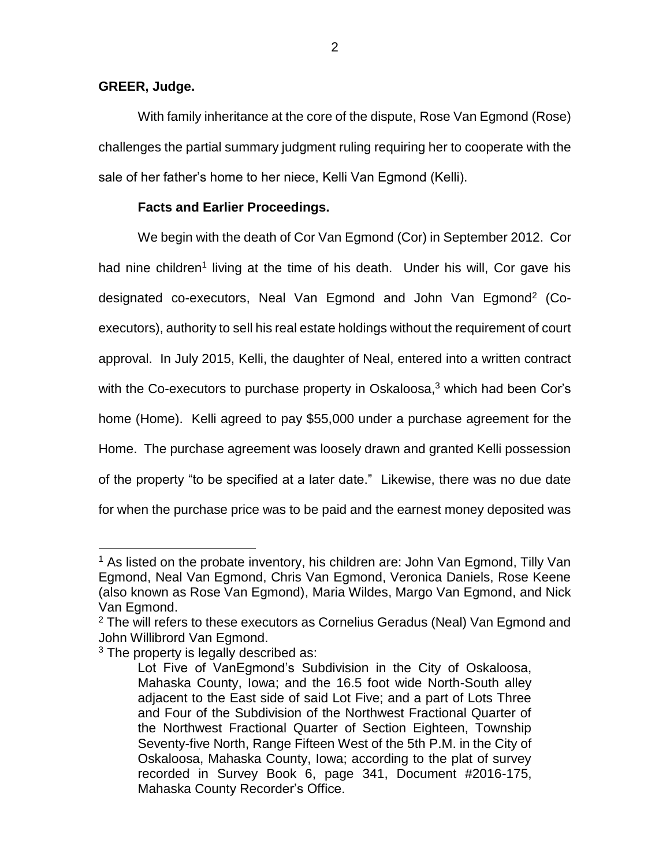## **GREER, Judge.**

With family inheritance at the core of the dispute, Rose Van Egmond (Rose) challenges the partial summary judgment ruling requiring her to cooperate with the sale of her father's home to her niece, Kelli Van Egmond (Kelli).

## **Facts and Earlier Proceedings.**

We begin with the death of Cor Van Egmond (Cor) in September 2012. Cor had nine children<sup>1</sup> living at the time of his death. Under his will, Cor gave his designated co-executors, Neal Van Egmond and John Van Egmond<sup>2</sup> (Coexecutors), authority to sell his real estate holdings without the requirement of court approval. In July 2015, Kelli, the daughter of Neal, entered into a written contract with the Co-executors to purchase property in Oskaloosa,<sup>3</sup> which had been Cor's home (Home). Kelli agreed to pay \$55,000 under a purchase agreement for the Home. The purchase agreement was loosely drawn and granted Kelli possession of the property "to be specified at a later date." Likewise, there was no due date for when the purchase price was to be paid and the earnest money deposited was

<sup>&</sup>lt;sup>1</sup> As listed on the probate inventory, his children are: John Van Egmond, Tilly Van Egmond, Neal Van Egmond, Chris Van Egmond, Veronica Daniels, Rose Keene (also known as Rose Van Egmond), Maria Wildes, Margo Van Egmond, and Nick Van Egmond.

 $2$  The will refers to these executors as Cornelius Geradus (Neal) Van Egmond and John Willibrord Van Egmond.

<sup>&</sup>lt;sup>3</sup> The property is legally described as:

Lot Five of VanEgmond's Subdivision in the City of Oskaloosa, Mahaska County, Iowa; and the 16.5 foot wide North-South alley adjacent to the East side of said Lot Five; and a part of Lots Three and Four of the Subdivision of the Northwest Fractional Quarter of the Northwest Fractional Quarter of Section Eighteen, Township Seventy-five North, Range Fifteen West of the 5th P.M. in the City of Oskaloosa, Mahaska County, Iowa; according to the plat of survey recorded in Survey Book 6, page 341, Document #2016-175, Mahaska County Recorder's Office.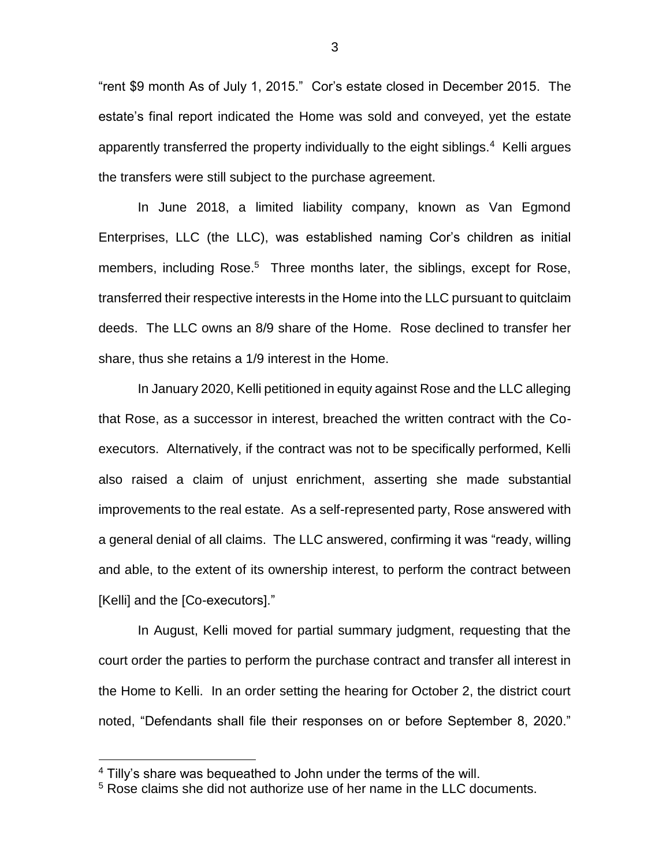"rent \$9 month As of July 1, 2015." Cor's estate closed in December 2015. The estate's final report indicated the Home was sold and conveyed, yet the estate apparently transferred the property individually to the eight siblings. 4 Kelli argues the transfers were still subject to the purchase agreement.

In June 2018, a limited liability company, known as Van Egmond Enterprises, LLC (the LLC), was established naming Cor's children as initial members, including Rose. <sup>5</sup> Three months later, the siblings, except for Rose, transferred their respective interests in the Home into the LLC pursuant to quitclaim deeds. The LLC owns an 8/9 share of the Home. Rose declined to transfer her share, thus she retains a 1/9 interest in the Home.

In January 2020, Kelli petitioned in equity against Rose and the LLC alleging that Rose, as a successor in interest, breached the written contract with the Coexecutors. Alternatively, if the contract was not to be specifically performed, Kelli also raised a claim of unjust enrichment, asserting she made substantial improvements to the real estate. As a self-represented party, Rose answered with a general denial of all claims. The LLC answered, confirming it was "ready, willing and able, to the extent of its ownership interest, to perform the contract between [Kelli] and the [Co-executors]."

In August, Kelli moved for partial summary judgment, requesting that the court order the parties to perform the purchase contract and transfer all interest in the Home to Kelli. In an order setting the hearing for October 2, the district court noted, "Defendants shall file their responses on or before September 8, 2020."

<sup>&</sup>lt;sup>4</sup> Tilly's share was bequeathed to John under the terms of the will.

<sup>5</sup> Rose claims she did not authorize use of her name in the LLC documents.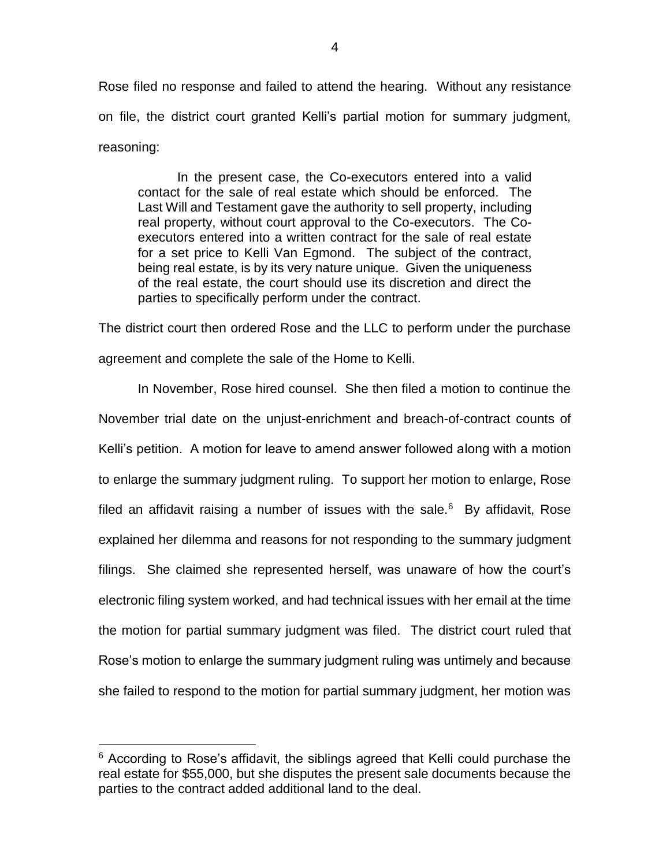Rose filed no response and failed to attend the hearing. Without any resistance on file, the district court granted Kelli's partial motion for summary judgment, reasoning:

In the present case, the Co-executors entered into a valid contact for the sale of real estate which should be enforced. The Last Will and Testament gave the authority to sell property, including real property, without court approval to the Co-executors. The Coexecutors entered into a written contract for the sale of real estate for a set price to Kelli Van Egmond. The subject of the contract, being real estate, is by its very nature unique. Given the uniqueness of the real estate, the court should use its discretion and direct the parties to specifically perform under the contract.

The district court then ordered Rose and the LLC to perform under the purchase agreement and complete the sale of the Home to Kelli.

In November, Rose hired counsel. She then filed a motion to continue the November trial date on the unjust-enrichment and breach-of-contract counts of Kelli's petition. A motion for leave to amend answer followed along with a motion to enlarge the summary judgment ruling. To support her motion to enlarge, Rose filed an affidavit raising a number of issues with the sale. $6$  By affidavit, Rose explained her dilemma and reasons for not responding to the summary judgment filings. She claimed she represented herself, was unaware of how the court's electronic filing system worked, and had technical issues with her email at the time the motion for partial summary judgment was filed. The district court ruled that Rose's motion to enlarge the summary judgment ruling was untimely and because she failed to respond to the motion for partial summary judgment, her motion was

 $6$  According to Rose's affidavit, the siblings agreed that Kelli could purchase the real estate for \$55,000, but she disputes the present sale documents because the parties to the contract added additional land to the deal.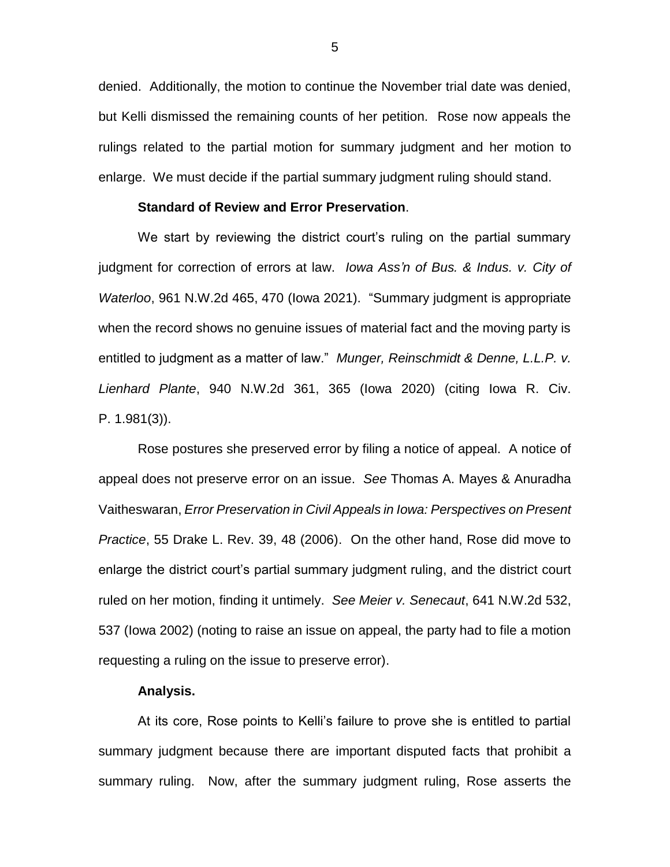denied. Additionally, the motion to continue the November trial date was denied, but Kelli dismissed the remaining counts of her petition. Rose now appeals the rulings related to the partial motion for summary judgment and her motion to enlarge. We must decide if the partial summary judgment ruling should stand.

#### **Standard of Review and Error Preservation**.

We start by reviewing the district court's ruling on the partial summary judgment for correction of errors at law. *Iowa Ass'n of Bus. & Indus. v. City of Waterloo*, 961 N.W.2d 465, 470 (Iowa 2021). "Summary judgment is appropriate when the record shows no genuine issues of material fact and the moving party is entitled to judgment as a matter of law." *Munger, Reinschmidt & Denne, L.L.P. v. Lienhard Plante*, 940 N.W.2d 361, 365 (Iowa 2020) (citing Iowa R. Civ. P. 1.981(3)).

Rose postures she preserved error by filing a notice of appeal. A notice of appeal does not preserve error on an issue. *See* Thomas A. Mayes & Anuradha Vaitheswaran, *Error Preservation in Civil Appeals in Iowa: Perspectives on Present Practice*, 55 Drake L. Rev. 39, 48 (2006). On the other hand, Rose did move to enlarge the district court's partial summary judgment ruling, and the district court ruled on her motion, finding it untimely. *See Meier v. Senecaut*, 641 N.W.2d 532, 537 (Iowa 2002) (noting to raise an issue on appeal, the party had to file a motion requesting a ruling on the issue to preserve error).

#### **Analysis.**

At its core, Rose points to Kelli's failure to prove she is entitled to partial summary judgment because there are important disputed facts that prohibit a summary ruling. Now, after the summary judgment ruling, Rose asserts the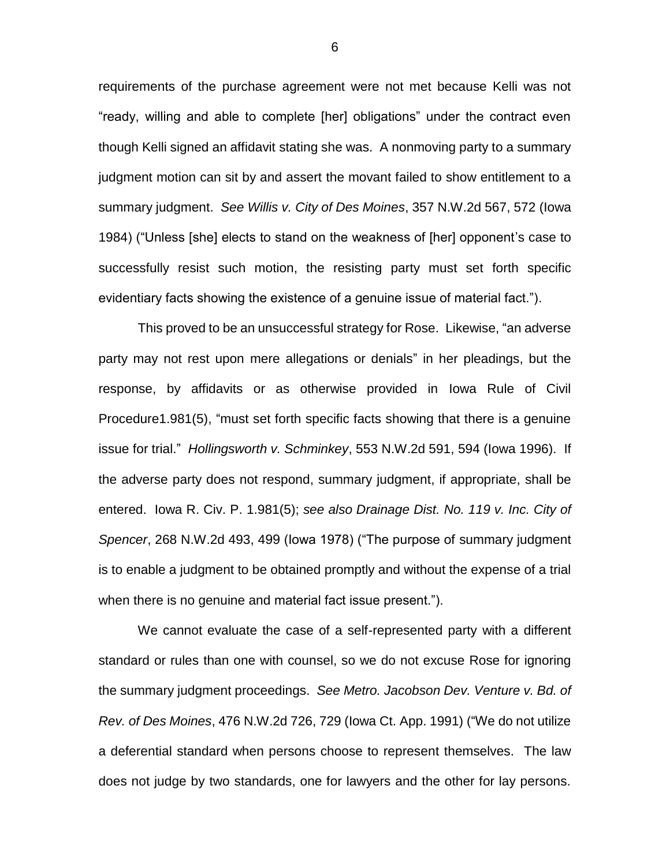requirements of the purchase agreement were not met because Kelli was not "ready, willing and able to complete [her] obligations" under the contract even though Kelli signed an affidavit stating she was. A nonmoving party to a summary judgment motion can sit by and assert the movant failed to show entitlement to a summary judgment. *See Willis v. City of Des Moines*, 357 N.W.2d 567, 572 (Iowa 1984) ("Unless [she] elects to stand on the weakness of [her] opponent's case to successfully resist such motion, the resisting party must set forth specific evidentiary facts showing the existence of a genuine issue of material fact.").

This proved to be an unsuccessful strategy for Rose. Likewise, "an adverse party may not rest upon mere allegations or denials" in her pleadings, but the response, by affidavits or as otherwise provided in Iowa Rule of Civil Procedure1.981(5), "must set forth specific facts showing that there is a genuine issue for trial." *Hollingsworth v. Schminkey*, 553 N.W.2d 591, 594 (Iowa 1996). If the adverse party does not respond, summary judgment, if appropriate, shall be entered. Iowa R. Civ. P. 1.981(5); *see also Drainage Dist. No. 119 v. Inc. City of Spencer*, 268 N.W.2d 493, 499 (Iowa 1978) ("The purpose of summary judgment is to enable a judgment to be obtained promptly and without the expense of a trial when there is no genuine and material fact issue present.").

We cannot evaluate the case of a self-represented party with a different standard or rules than one with counsel, so we do not excuse Rose for ignoring the summary judgment proceedings. *See Metro. Jacobson Dev. Venture v. Bd. of Rev. of Des Moines*, 476 N.W.2d 726, 729 (Iowa Ct. App. 1991) ("We do not utilize a deferential standard when persons choose to represent themselves. The law does not judge by two standards, one for lawyers and the other for lay persons.

6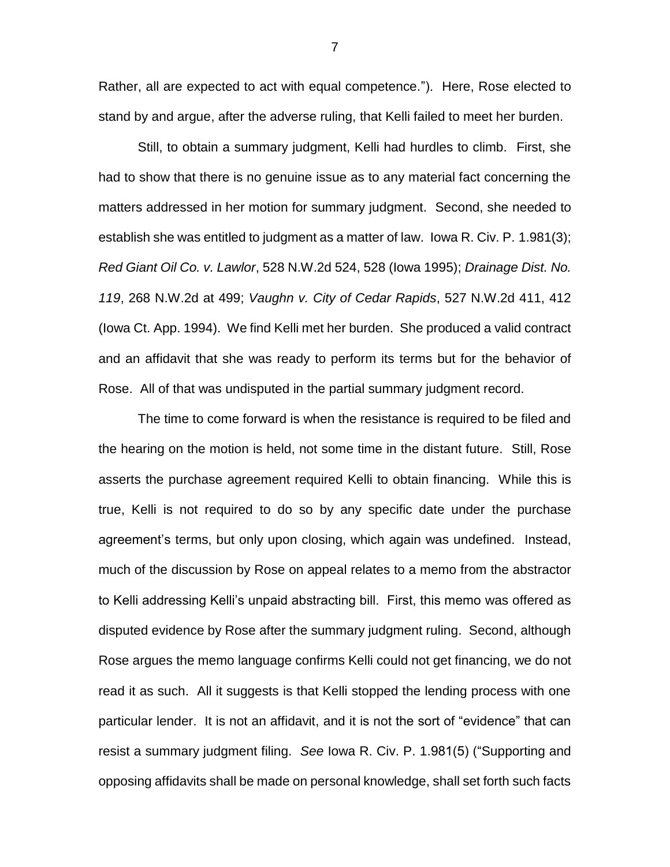Rather, all are expected to act with equal competence."). Here, Rose elected to stand by and argue, after the adverse ruling, that Kelli failed to meet her burden.

Still, to obtain a summary judgment, Kelli had hurdles to climb. First, she had to show that there is no genuine issue as to any material fact concerning the matters addressed in her motion for summary judgment. Second, she needed to establish she was entitled to judgment as a matter of law. Iowa R. Civ. P. 1.981(3); *Red Giant Oil Co. v. Lawlor*, 528 N.W.2d 524, 528 (Iowa 1995); *Drainage Dist. No. 119*, 268 N.W.2d at 499; *Vaughn v. City of Cedar Rapids*, 527 N.W.2d 411, 412 (Iowa Ct. App. 1994). We find Kelli met her burden. She produced a valid contract and an affidavit that she was ready to perform its terms but for the behavior of Rose. All of that was undisputed in the partial summary judgment record.

The time to come forward is when the resistance is required to be filed and the hearing on the motion is held, not some time in the distant future. Still, Rose asserts the purchase agreement required Kelli to obtain financing. While this is true, Kelli is not required to do so by any specific date under the purchase agreement's terms, but only upon closing, which again was undefined. Instead, much of the discussion by Rose on appeal relates to a memo from the abstractor to Kelli addressing Kelli's unpaid abstracting bill. First, this memo was offered as disputed evidence by Rose after the summary judgment ruling. Second, although Rose argues the memo language confirms Kelli could not get financing, we do not read it as such. All it suggests is that Kelli stopped the lending process with one particular lender. It is not an affidavit, and it is not the sort of "evidence" that can resist a summary judgment filing. *See* Iowa R. Civ. P. 1.981(5) ("Supporting and opposing affidavits shall be made on personal knowledge, shall set forth such facts

7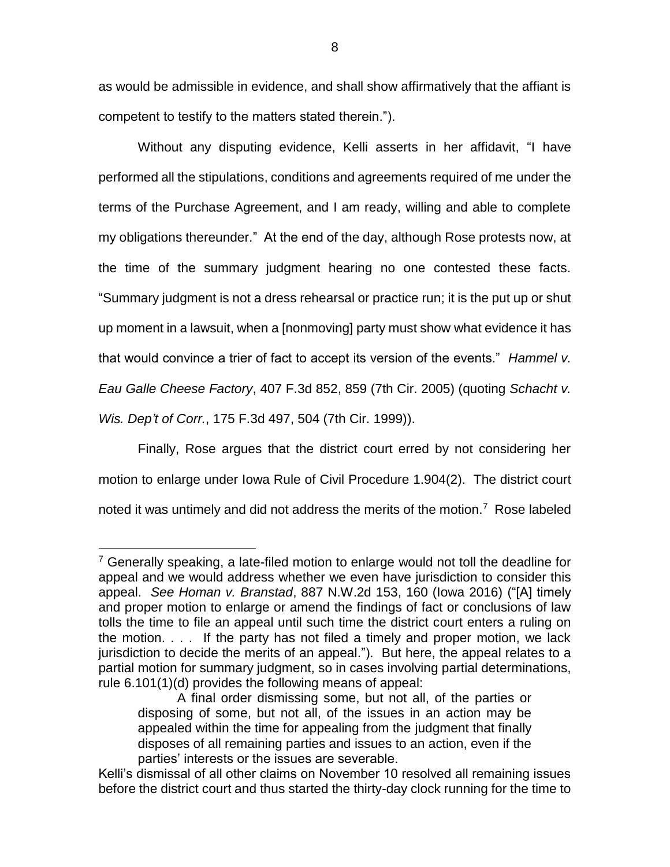as would be admissible in evidence, and shall show affirmatively that the affiant is competent to testify to the matters stated therein.").

Without any disputing evidence, Kelli asserts in her affidavit, "I have performed all the stipulations, conditions and agreements required of me under the terms of the Purchase Agreement, and I am ready, willing and able to complete my obligations thereunder." At the end of the day, although Rose protests now, at the time of the summary judgment hearing no one contested these facts. "Summary judgment is not a dress rehearsal or practice run; it is the put up or shut up moment in a lawsuit, when a [nonmoving] party must show what evidence it has that would convince a trier of fact to accept its version of the events." *Hammel v. Eau Galle Cheese Factory*, 407 F.3d 852, 859 (7th Cir. 2005) (quoting *Schacht v. Wis. Dep't of Corr.*, 175 F.3d 497, 504 (7th Cir. 1999)).

Finally, Rose argues that the district court erred by not considering her motion to enlarge under Iowa Rule of Civil Procedure 1.904(2). The district court noted it was untimely and did not address the merits of the motion.<sup>7</sup> Rose labeled

 $7$  Generally speaking, a late-filed motion to enlarge would not toll the deadline for appeal and we would address whether we even have jurisdiction to consider this appeal. *See Homan v. Branstad*, 887 N.W.2d 153, 160 (Iowa 2016) ("[A] timely and proper motion to enlarge or amend the findings of fact or conclusions of law tolls the time to file an appeal until such time the district court enters a ruling on the motion. . . . If the party has not filed a timely and proper motion, we lack jurisdiction to decide the merits of an appeal."). But here, the appeal relates to a partial motion for summary judgment, so in cases involving partial determinations, rule 6.101(1)(d) provides the following means of appeal:

A final order dismissing some, but not all, of the parties or disposing of some, but not all, of the issues in an action may be appealed within the time for appealing from the judgment that finally disposes of all remaining parties and issues to an action, even if the parties' interests or the issues are severable.

Kelli's dismissal of all other claims on November 10 resolved all remaining issues before the district court and thus started the thirty-day clock running for the time to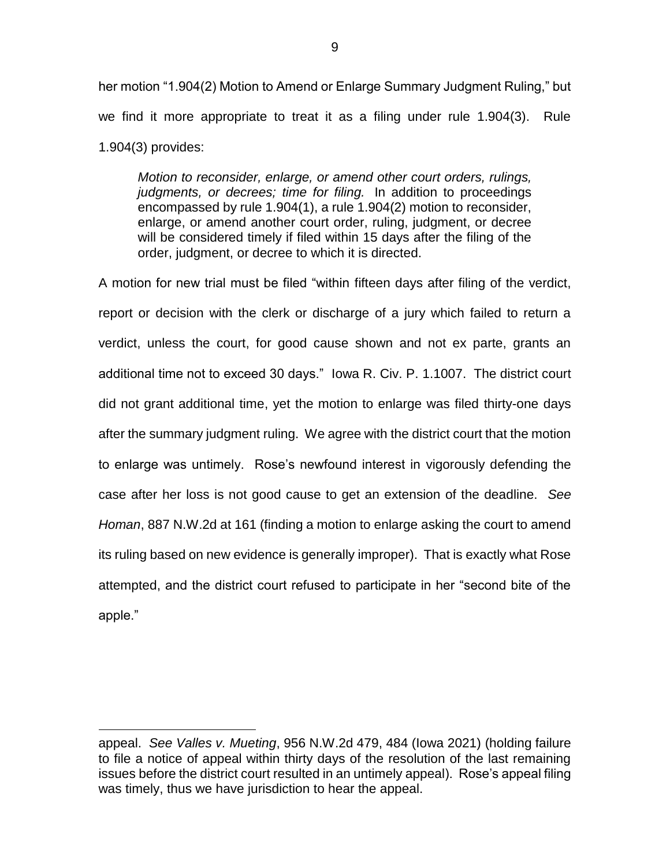her motion "1.904(2) Motion to Amend or Enlarge Summary Judgment Ruling," but we find it more appropriate to treat it as a filing under rule 1.904(3). Rule 1.904(3) provides:

*Motion to reconsider, enlarge, or amend other court orders, rulings, judgments, or decrees; time for filing.* In addition to proceedings encompassed by rule 1.904(1), a rule 1.904(2) motion to reconsider, enlarge, or amend another court order, ruling, judgment, or decree will be considered timely if filed within 15 days after the filing of the order, judgment, or decree to which it is directed.

A motion for new trial must be filed "within fifteen days after filing of the verdict, report or decision with the clerk or discharge of a jury which failed to return a verdict, unless the court, for good cause shown and not ex parte, grants an additional time not to exceed 30 days." Iowa R. Civ. P. 1.1007. The district court did not grant additional time, yet the motion to enlarge was filed thirty-one days after the summary judgment ruling. We agree with the district court that the motion to enlarge was untimely. Rose's newfound interest in vigorously defending the case after her loss is not good cause to get an extension of the deadline. *See Homan*, 887 N.W.2d at 161 (finding a motion to enlarge asking the court to amend its ruling based on new evidence is generally improper). That is exactly what Rose attempted, and the district court refused to participate in her "second bite of the apple."

appeal. *See Valles v. Mueting*, 956 N.W.2d 479, 484 (Iowa 2021) (holding failure to file a notice of appeal within thirty days of the resolution of the last remaining issues before the district court resulted in an untimely appeal). Rose's appeal filing was timely, thus we have jurisdiction to hear the appeal.